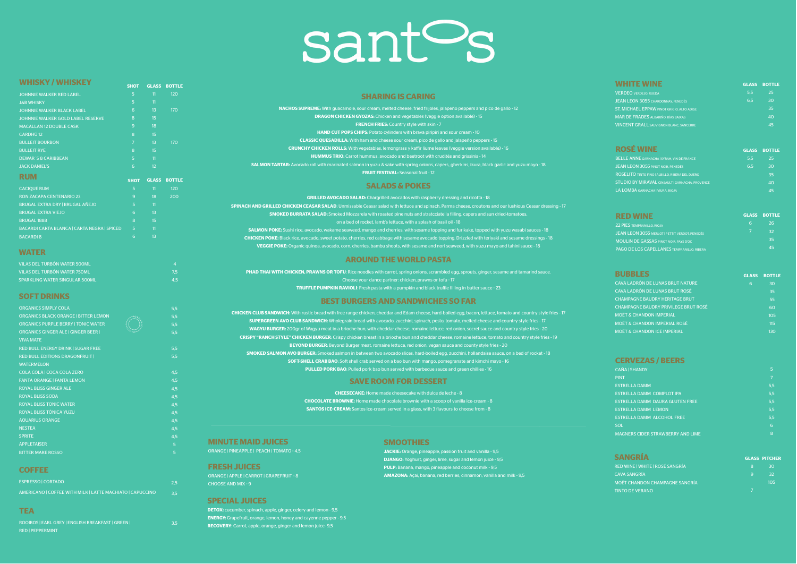**DETOX:** cucumber, spinach, apple, ginger, celery and lemon - 9,5 **ENERGY:** Grapefruit, orange, lemon, honey and cayenne pepper - 9,5 **RECOVERY**: Carrot, apple, orange, ginger and lemon juice- 9,5

| ROOIBOS   EARL GREY   ENGLISH BREAKFAST   GREEN |  |
|-------------------------------------------------|--|
| <b>RED   PEPPERMINT</b>                         |  |

3,5

## sant<sup>o</sup>s

| WHISKY / WHISKEY                                          | <b>SHOT</b>    |                 | <b>GLASS BOTTLE</b> |                                           |                                                                                                                                                                       |
|-----------------------------------------------------------|----------------|-----------------|---------------------|-------------------------------------------|-----------------------------------------------------------------------------------------------------------------------------------------------------------------------|
| <b>JOHNNIE WALKER RED LABEL</b>                           | $-5$           | 11              | 120                 |                                           | <b>SHARING IS CARING</b>                                                                                                                                              |
| <b>J&amp;B WHISKY</b>                                     | 5 <sup>5</sup> | 11              |                     |                                           |                                                                                                                                                                       |
| JOHNNIE WALKER BLACK LABEL                                | $6^{\circ}$    | 13 <sup>°</sup> | 170                 |                                           | <b>NACHOS SUPREME:</b> With guacamole, sour cream, melted cheese, fried frijoles, jalapeño peppers and pico de gallo - 12                                             |
| JOHNNIE WALKER GOLD LABEL RESERVE                         | 8 <sup>°</sup> | 15 <sup>2</sup> |                     |                                           | <b>DRAGON CHICKEN GYOZAS:</b> Chicken and vegetables (veggie option available) - 15                                                                                   |
| <b>MACALLAN 12 DOUBLE CASK</b>                            | $\overline{9}$ | 18              |                     |                                           | <b>FRENCH FRIES:</b> Country style with skin - 7                                                                                                                      |
| <b>CARDHÚ 12</b>                                          | 8              | 15              |                     |                                           | <b>HAND CUT POPS CHIPS:</b> Potato cylinders with brava piripiri and sour cream - 10                                                                                  |
| <b>BULLEIT BOURBON</b>                                    | $\overline{7}$ | 13 <sup>°</sup> | <b>170</b>          |                                           | <b>CLASSIC QUESADILLA:</b> With ham and cheese sour cream, pico de gallo and jalapeño peppers - 15                                                                    |
| <b>BULLEIT RYE</b>                                        | 8 <sup>°</sup> | 15              |                     |                                           | <b>CRUNCHY CHICKEN ROLLS:</b> With vegetables, lemongrass y kaffir liume leaves (veggie version available) - 16                                                       |
| <b>DEWAR'S 8 CARIBBEAN</b>                                | 5 <sup>1</sup> | 11              |                     |                                           | <b>HUMMUS TRIO:</b> Carrot hummus, avocado and beetroot with crudités and grissinis - 14                                                                              |
| <b>JACK DANIEL'S</b>                                      | 6              | 12 <sup>°</sup> |                     |                                           | <b>SALMON TARTAR:</b> Avocado roll with marinated salmon in yuzu & sake with spring onions, capers, gherkins, ikura, black garlic and yuzu mayo - 18                  |
|                                                           |                |                 |                     |                                           | <b>FRUIT FESTIVAL:</b> Seasonal fruit - 12                                                                                                                            |
| <b>RUM</b>                                                | <b>SHOT</b>    |                 | <b>GLASS BOTTLE</b> |                                           |                                                                                                                                                                       |
| <b>CACIQUE RUM</b>                                        | $-5$           | $\overline{11}$ | 120 <sub>1</sub>    |                                           | <b>SALADS &amp; POKES</b>                                                                                                                                             |
| <b>RON ZACAPA CENTENARIO 23</b>                           | 9              | 18              | 200                 |                                           | <b>GRILLED AVOCADO SALAD:</b> Chargrilled avocados with raspberry dressing and ricotta - 18                                                                           |
| BRUGAL EXTRA DRY   BRUGAL AÑEJO                           | 5 <sub>5</sub> | 11              |                     |                                           | SPINACH AND GRILLED CHICKEN CEASAR SALAD: Unmissable Ceasar salad with lettuce and spinach, Parma cheese, croutons and our lushious Ceasar dressing - 17              |
| <b>BRUGAL EXTRA VIEJO</b>                                 | 6              | 13 <sup>°</sup> |                     |                                           | <b>SMOKED BURRATA SALAD:</b> Smoked Mozzarela with roasted pine nuts and stratcciatella filling, capers and sun dried-tomatoes,                                       |
| BRUGAL 1888                                               | $8^{\circ}$    | 15              |                     |                                           | on a bed of rocket, lamb's lettuce, with a splash of basil oil - 18                                                                                                   |
| BACARDI CARTA BLANCA   CARTA NEGRA   SPICED               | $-5$           | 11              |                     |                                           | <b>SALMON POKE:</b> Sushi rice, avocado, wakame seaweed, mango and cherries, with sesame topping and furikake, topped with yuzu wasabi sauces - 18                    |
| <b>BACARDI 8</b>                                          | 6              | 13 <sup>°</sup> |                     |                                           | <b>CHICKEN POKE:</b> Black rice, avocado, sweet potato, cherries, red cabbage with sesame avocado topping. Drizzled with teriyaki and sesame dressings - 18           |
|                                                           |                |                 |                     |                                           | <b>VEGGIE POKE:</b> Organic quinoa, avocado, corn, cherries, bambu shoots, with sesame and nori seaweed, with yuzu mayo and tahini sauce - 18                         |
| <b>WATER</b>                                              |                |                 |                     |                                           |                                                                                                                                                                       |
| VILAS DEL TURBÓN WATER 500ML                              |                |                 | $\overline{4}$      |                                           | <b>AROUND THE WORLD PASTA</b>                                                                                                                                         |
| VILAS DEL TURBÓN WATER 750ML                              |                |                 | 7,5                 |                                           | <b>PHAD THAI WITH CHICKEN, PRAWNS OR TOFU:</b> Rice noodles with carrot, spring onions, scrambled egg, sprouts, ginger, sesame and tamarind sauce.                    |
| <b>SPARKLING WATER SINGULAR 500ML</b>                     |                |                 | 4,5                 |                                           | Choose your dance partner: chicken, prawns or tofu - 17                                                                                                               |
|                                                           |                |                 |                     |                                           | <b>TRUFFLE PUMPKIN RAVIOLI:</b> Fresh pasta with a pumpkin and black truffle filling in butter sauce - 23                                                             |
| <b>SOFT DRINKS</b>                                        |                |                 |                     |                                           |                                                                                                                                                                       |
|                                                           |                |                 |                     |                                           | <b>BEST BURGERS AND SANDWICHES SO FAR</b>                                                                                                                             |
| <b>ORGANICS SIMPLY COLA</b>                               |                |                 | 5,5                 |                                           | <b>CHICKEN CLUB SANDWICH:</b> With rustic bread with free range chicken, cheddar and Edam cheese, hard-boiled egg, bacon, lettuce, tomato and country style fries -17 |
| <b>ORGANICS BLACK ORANGE   BITTER LEMON</b>               |                |                 | 5,5                 |                                           | <b>SUPERGREEN AVO CLUB SANDWICH:</b> Wholegrain bread with avocado, zucchini, spinach, pesto, tomato, melted cheese and country style fries - 17                      |
| <b>ORGANICS PURPLE BERRY   TONIC WATER</b>                |                |                 | 5,5                 |                                           | WAGYU BURGER: 200gr of Wagyu meat in a brioche bun, with cheddar cheese, romaine lettuce, red onion, secret sauce and country style fries - 20                        |
| <b>ORGANICS GINGER ALE   GINGER BEER  </b>                |                |                 | 5,5                 |                                           | CRISPY "RANCH STYLE" CHICKEN BURGER: Crispy chicken breast in a brioche bun and cheddar cheese, romaine lettuce, tomato and country style fries - 19                  |
| <b>VIVA MATE</b>                                          |                |                 |                     |                                           | <b>BEYOND BURGER:</b> Beyond Burger meat, romaine lettuce, red onion, vegan sauce and county style fries - 20                                                         |
| <b>RED BULL ENERGY DRINK   SUGAR FREE</b>                 |                |                 | 5,5                 |                                           | SMOKED SALMON AVO BURGER: Smoked salmon in between two avocado slices, hard-boiled egg, zucchini, hollandaise sauce, on a bed of rocket - 18                          |
| <b>RED BULL EDITIONS DRAGONFRUIT  </b>                    |                |                 | 5,5                 |                                           | <b>SOFT-SHELL CRAB BAO:</b> Soft shell crab served on a bao bun with mango, pomegranate and kimchi mayo - 16                                                          |
| <b>WATERMELON</b>                                         |                |                 |                     |                                           | <b>PULLED PORK BAO:</b> Pulled pork bao bun served with barbecue sauce and green chillies - 16                                                                        |
| COLA COLA   COCA COLA ZERO                                |                |                 | 4,5                 |                                           |                                                                                                                                                                       |
| <b>FANTA ORANGE   FANTA LEMON</b>                         |                |                 | 4,5                 |                                           | <b>SAVE ROOM FOR DESSERT</b>                                                                                                                                          |
| <b>ROYAL BLISS GINGER ALE</b>                             |                |                 | 4,5                 |                                           | <b>CHEESECAKE:</b> Home made cheesecake with dulce de leche - 8                                                                                                       |
| <b>ROYAL BLISS SODA</b>                                   |                |                 | 4,5                 |                                           | CHOCOLATE BROWNIE: Home made chocolate brownie with a scoop of vanilla ice-cream - 8                                                                                  |
| <b>ROYAL BLISS TONIC WATER</b>                            |                |                 | 4,5                 |                                           | <b>SANTOS ICE-CREAM:</b> Santos ice-cream served in a glass, with 3 flavours to choose from - 8                                                                       |
| ROYAL BLISS TÓNICA YUZU                                   |                |                 | 4,5                 |                                           |                                                                                                                                                                       |
| <b>AQUARIUS ORANGE</b>                                    |                |                 | 4,5                 |                                           |                                                                                                                                                                       |
| <b>NESTEA</b>                                             |                |                 | 4,5                 |                                           |                                                                                                                                                                       |
| <b>SPRITE</b>                                             |                |                 | 4,5                 | <b>MINUTE MAID JUICES</b>                 | <b>SMOOTHIES</b>                                                                                                                                                      |
| <b>APPLETAISER</b>                                        |                |                 | 5 <sup>1</sup>      |                                           |                                                                                                                                                                       |
| <b>BITTER MARE ROSSO</b>                                  |                |                 | 5 <sup>1</sup>      | ORANGE   PINEAPPLE   PEACH   TOMATO - 4,5 | <b>JACKIE:</b> Orange, pineapple, passion fruit and vanilla - 9,5                                                                                                     |
|                                                           |                |                 |                     |                                           | <b>DJANGO:</b> Yoghurt, ginger, lime, sugar and lemon juice - 9,5                                                                                                     |
| <b>COFFEE</b>                                             |                |                 |                     | <b>FRESH JUICES</b>                       | <b>PULP:</b> Banana, mango, pineapple and coconut milk - 9,5                                                                                                          |
| <b>ESPRESSO   CORTADO</b>                                 |                |                 |                     | ORANGE   APPLE   CARROT   GRAPEFRUIT - 8  | AMAZONA: Açaí, banana, red berries, cinnamon, vanilla and milk - 9,5                                                                                                  |
|                                                           |                |                 | 2,5                 | <b>CHOOSE AND MIX - 9</b>                 |                                                                                                                                                                       |
| AMERICANO   COFFEE WITH MILK   LATTE MACHIATO   CAPUCCINO |                |                 | 3.5                 |                                           |                                                                                                                                                                       |

 $3,5$ 

| <b>CAÑA I SHANDY</b>                     | 5   |
|------------------------------------------|-----|
| <b>PINT</b>                              | 7   |
| <b>ESTRELLA DAMM</b>                     | 5.5 |
| <b>ESTRELLA DAMM COMPLOT IPA</b>         | 5.5 |
| <b>ESTRELLA DAMM DAURA GLUTEN FREE</b>   | 5.5 |
| <b>ESTRELLA DAMM LEMON</b>               | 5.5 |
| <b>ESTRELLA DAMM ALCOHOL FREE</b>        | 5.5 |
| <b>SOL</b>                               | 6   |
| <b>MAGNERS CIDER STRAWBERRY AND LIME</b> | 8   |

| <b>SANGRIA</b>                        |          | <b>GLASS PITCHER</b> |
|---------------------------------------|----------|----------------------|
| RED WINE I WHITE I ROSÉ SANGRÍA       | 8        | 30                   |
| <b>CAVA SANGRÍA</b>                   | <b>q</b> | -32                  |
| <b>MOËT CHANDON CHAMPAGNE SANGRÍA</b> |          | 105                  |
| <b>TINTO DE VERANO</b>                |          |                      |

### VERDEO VERDEJO, RUEDA JEAN LEON 3055 CHARDONNAY, PENEDÉS ST. MICHAEL EPPAW PINOT GRIGIO, ALTO ADIGE MAR DE FRADES ALBARIÑO, RÍAS BAIXAS VINCENT GRALL SAUVIGNON BLANC, SANCERRE **GLASS BOTTLE** 5,5 25

| <b>ROSE WINE</b>                                       | <b>GLASS</b> | <b>BOTTLE</b>   |
|--------------------------------------------------------|--------------|-----------------|
| <b>BELLE ANNE GARNACHA I SYRAH. VIN DE FRANCE</b>      | 5.5          | 25              |
| <b>JEAN LEON 3055 PINOT NOIR, PENEDÉS</b>              | 6.5          | 30              |
| <b>ROSELITO TINTO FINO I ALBILLO, RIBERA DEL DUERO</b> |              | 35              |
| <b>STUDIO BY MIRAVAL CINSAULT   GARNACHA, PROVENCE</b> |              | 40 <sub>1</sub> |
| LA LOMBA GARNACHA I VIURA, RIOJA                       |              | 45              |
|                                                        |              |                 |

|   | <b>GLASS BOTTLE</b> |
|---|---------------------|
| 6 | 26                  |
|   | 32                  |
|   | -35                 |
|   | 45                  |
|   |                     |

| <b>BUBBLES</b>                              |   | <b>GLASS BOTTLE</b> |
|---------------------------------------------|---|---------------------|
| <b>CAVA LADRÓN DE LUNAS BRUT NATURE</b>     | 6 | 30                  |
| <b>CAVA LADRÓN DE LUNAS BRUT ROSÉ</b>       |   | 35                  |
| <b>CHAMPAGNE BAUDRY HERITAGE BRUT</b>       |   | 55                  |
| <b>CHAMPAGNE BAUDRY PRIVILEGE BRUT ROSÉ</b> |   | 60                  |
| <b>MOËT &amp; CHANDON IMPERIAL</b>          |   | 105                 |
| <b>MOËT &amp; CHANDON IMPERIAL ROSÉ</b>     |   | 115                 |
| <b>MOËT &amp; CHANDON ICE IMPERIAL</b>      |   | 13 <sub>O</sub>     |
|                                             |   |                     |